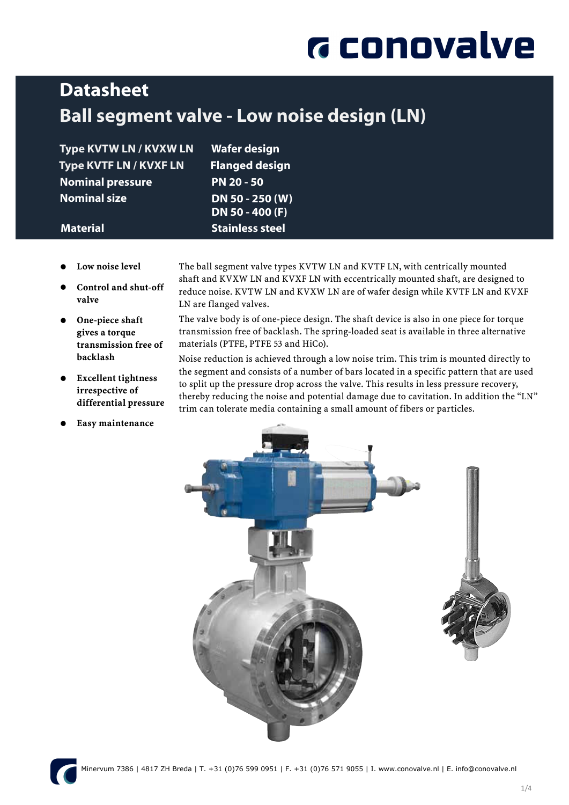# **G** conovalve

### **Datasheet** Ball segment valve - Low noise design (LN)

Type KVTW LN / KVXW LN Wafer design Type KVTF LN / KVXF LN Flanged design Nominal pressure PN 20 - 50 Nominal size DN 50 - 250 (W)

 DN 50 - 400 (F) **Material Stainless steel** 

- Low noise level
- Control and shut-off valve
- One-piece shaft gives a torque transmission free of backlash
- Excellent tightness irrespective of differential pressure
- Easy maintenance

The ball segment valve types KVTW LN and KVTF LN, with centrically mounted shaft and KVXW LN and KVXF LN with eccentrically mounted shaft, are designed to reduce noise. KVTW LN and KVXW LN are of wafer design while KVTF LN and KVXF LN are flanged valves.

The valve body is of one-piece design. The shaft device is also in one piece for torque transmission free of backlash. The spring-loaded seat is available in three alternative materials (PTFE, PTFE 53 and HiCo).

Noise reduction is achieved through a low noise trim. This trim is mounted directly to the segment and consists of a number of bars located in a specific pattern that are used to split up the pressure drop across the valve. This results in less pressure recovery, thereby reducing the noise and potential damage due to cavitation. In addition the "LN" trim can tolerate media containing a small amount of fibers or particles.



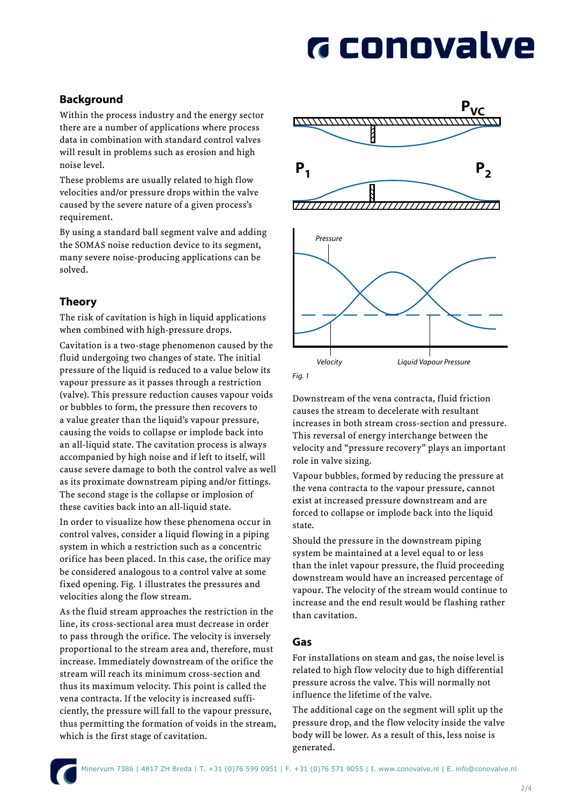# **G** conovalve

### Background

Within the process industry and the energy sector there are a number of applications where process data in combination with standard control valves will result in problems such as erosion and high noise level.

These problems are usually related to high flow velocities and/or pressure drops within the valve caused by the severe nature of a given process's requirement.

By using a standard ball segment valve and adding the SOMAS noise reduction device to its segment, many severe noise-producing applications can be solved.

#### Theory

The risk of cavitation is high in liquid applications when combined with high-pressure drops.

Cavitation is a two-stage phenomenon caused by the fluid undergoing two changes of state. The initial pressure of the liquid is reduced to a value below its vapour pressure as it passes through a restriction (valve). This pressure reduction causes vapour voids or bubbles to form, the pressure then recovers to a value greater than the liquid's vapour pressure, causing the voids to collapse or implode back into an all-liquid state. The cavitation process is always accompanied by high noise and if left to itself, will cause severe damage to both the control valve as well as its proximate downstream piping and/or fittings. The second stage is the collapse or implosion of these cavities back into an all-liquid state.

In order to visualize how these phenomena occur in control valves, consider a liquid flowing in a piping system in which a restriction such as a concentric orifice has been placed. In this case, the orifice may be considered analogous to a control valve at some fixed opening. Fig. 1 illustrates the pressures and velocities along the flow stream.

As the fluid stream approaches the restriction in the line, its cross-sectional area must decrease in order to pass through the orifice. The velocity is inversely proportional to the stream area and, therefore, must increase. Immediately downstream of the orifice the stream will reach its minimum cross-section and thus its maximum velocity. This point is called the vena contracta. If the velocity is increased sufficiently, the pressure will fall to the vapour pressure, thus permitting the formation of voids in the stream, which is the first stage of cavitation.





Downstream of the vena contracta, fluid friction causes the stream to decelerate with resultant increases in both stream cross-section and pressure. This reversal of energy interchange between the velocity and "pressure recovery" plays an important role in valve sizing.

Vapour bubbles, formed by reducing the pressure at the vena contracta to the vapour pressure, cannot exist at increased pressure downstream and are forced to collapse or implode back into the liquid state.

Should the pressure in the downstream piping system be maintained at a level equal to or less than the inlet vapour pressure, the fluid proceeding downstream would have an increased percentage of vapour. The velocity of the stream would continue to increase and the end result would be flashing rather than cavitation.

#### Gas

For installations on steam and gas, the noise level is related to high flow velocity due to high differential pressure across the valve. This will normally not influence the lifetime of the valve.

The additional cage on the segment will split up the pressure drop, and the flow velocity inside the valve body will be lower. As a result of this, less noise is generated.

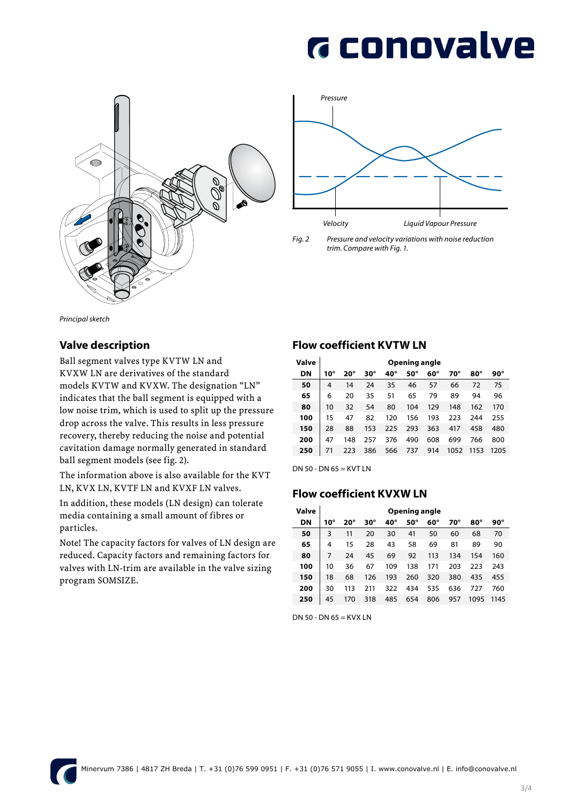# **G** conovalve





*Fig. 2 Pressure and velocity variations with noise reduction trim. Compare with Fig. 1.*

*Principal sketch*

#### Valve description

Ball segment valves type KVTW LN and KVXW LN are derivatives of the standard models KVTW and KVXW. The designation "LN" indicates that the ball segment is equipped with a low noise trim, which is used to split up the pressure drop across the valve. This results in less pressure recovery, thereby reducing the noise and potential cavitation damage normally generated in standard ball segment models (see fig. 2).

The information above is also available for the KVT LN, KVX LN, KVTF LN and KVXF LN valves.

In addition, these models (LN design) can tolerate media containing a small amount of fibres or particles.

Note! The capacity factors for valves of LN design are reduced. Capacity factors and remaining factors for valves with LN-trim are available in the valve sizing program SOMSIZE.

#### Flow coefficient KVTW LN

| Valve | Opening angle |            |     |     |     |     |      |            |            |  |
|-------|---------------|------------|-----|-----|-----|-----|------|------------|------------|--|
| DN    | $10^{\circ}$  | $20^\circ$ | 30° | 40° | 50° | 60° | 70°  | $80^\circ$ | $90^\circ$ |  |
| 50    | 4             | 14         | 24  | 35  | 46  | 57  | 66   | 72         | 75         |  |
| 65    | 6             | 20         | 35  | 51  | 65  | 79  | 89   | 94         | 96         |  |
| 80    | 10            | 32         | 54  | 80  | 104 | 129 | 148  | 162        | 170        |  |
| 100   | 15            | 47         | 82  | 120 | 156 | 193 | 223  | 244        | 255        |  |
| 150   | 28            | 88         | 153 | 225 | 293 | 363 | 417  | 458        | 480        |  |
| 200   | 47            | 148        | 257 | 376 | 490 | 608 | 699  | 766        | 800        |  |
| 250   | 71            | 223        | 386 | 566 | 737 | 914 | 1052 | 1153       | 1205       |  |

DN 50 - DN  $65 =$  KVT LN

#### Flow coefficient KVXW LN

| Valve | Opening angle |              |     |     |     |            |     |      |      |  |
|-------|---------------|--------------|-----|-----|-----|------------|-----|------|------|--|
| DN    | $10^{\circ}$  | $20^{\circ}$ | 30° | 40° | 50° | $60^\circ$ | 70° | 80°  | 90°  |  |
| 50    | 3             | 11           | 20  | 30  | 41  | 50         | 60  | 68   | 70   |  |
| 65    | 4             | 15           | 28  | 43  | 58  | 69         | 81  | 89   | 90   |  |
| 80    | 7             | 24           | 45  | 69  | 92  | 113        | 134 | 154  | 160  |  |
| 100   | 10            | 36           | 67  | 109 | 138 | 171        | 203 | 223  | 243  |  |
| 150   | 18            | 68           | 126 | 193 | 260 | 320        | 380 | 435  | 455  |  |
| 200   | 30            | 113          | 211 | 322 | 434 | 535        | 636 | 727  | 760  |  |
| 250   | 45            | 170          | 318 | 485 | 654 | 806        | 957 | 1095 | 1145 |  |

DN 50 - DN 65 = KVX LN